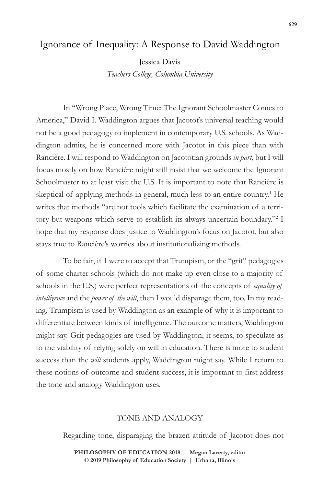## Ignorance of Inequality: A Response to David Waddington

Jessica Davis

*Teachers College, Columbia University*

In "Wrong Place, Wrong Time: The Ignorant Schoolmaster Comes to America," David I. Waddington argues that Jacotot's universal teaching would not be a good pedagogy to implement in contemporary U.S. schools. As Waddington admits, he is concerned more with Jacotot in this piece than with Rancière. I will respond to Waddington on Jacototian grounds *in part,* but I will focus mostly on how Rancière might still insist that we welcome the Ignorant Schoolmaster to at least visit the U.S. It is important to note that Rancière is skeptical of applying methods in general, much less to an entire country.<sup>1</sup> He writes that methods "are not tools which facilitate the examination of a territory but weapons which serve to establish its always uncertain boundary."<sup>2</sup> I hope that my response does justice to Waddington's focus on Jacotot, but also stays true to Rancière's worries about institutionalizing methods.

To be fair, if I were to accept that Trumpism, or the "grit" pedagogies of some charter schools (which do not make up even close to a majority of schools in the U.S.) were perfect representations of the concepts of *equality of intelligence* and the *power of the will*, then I would disparage them, too. In my reading, Trumpism is used by Waddington as an example of why it is important to differentiate between kinds of intelligence. The outcome matters, Waddington might say. Grit pedagogies are used by Waddington, it seems, to speculate as to the viability of relying solely on will in education. There is more to student success than the *will* students apply, Waddington might say. While I return to these notions of outcome and student success, it is important to first address the tone and analogy Waddington uses.

## TONE AND ANALOGY

Regarding tone, disparaging the brazen attitude of Jacotot does not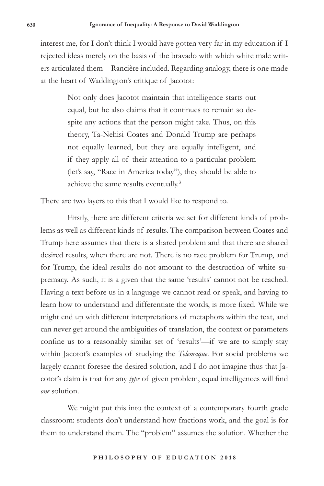interest me, for I don't think I would have gotten very far in my education if I rejected ideas merely on the basis of the bravado with which white male writers articulated them—Rancière included. Regarding analogy, there is one made at the heart of Waddington's critique of Jacotot:

> Not only does Jacotot maintain that intelligence starts out equal, but he also claims that it continues to remain so despite any actions that the person might take. Thus, on this theory, Ta-Nehisi Coates and Donald Trump are perhaps not equally learned, but they are equally intelligent, and if they apply all of their attention to a particular problem (let's say, "Race in America today"), they should be able to achieve the same results eventually.3

There are two layers to this that I would like to respond to.

Firstly, there are different criteria we set for different kinds of problems as well as different kinds of results. The comparison between Coates and Trump here assumes that there is a shared problem and that there are shared desired results, when there are not. There is no race problem for Trump, and for Trump, the ideal results do not amount to the destruction of white supremacy. As such, it is a given that the same 'results' cannot not be reached. Having a text before us in a language we cannot read or speak, and having to learn how to understand and differentiate the words, is more fixed. While we might end up with different interpretations of metaphors within the text, and can never get around the ambiguities of translation, the context or parameters confine us to a reasonably similar set of 'results'—if we are to simply stay within Jacotot's examples of studying the *Telemaque*. For social problems we largely cannot foresee the desired solution, and I do not imagine thus that Jacotot's claim is that for any *type* of given problem, equal intelligences will find *one* solution.

We might put this into the context of a contemporary fourth grade classroom: students don't understand how fractions work, and the goal is for them to understand them. The "problem" assumes the solution. Whether the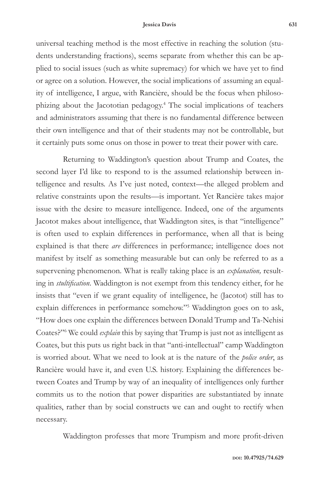## **Jessica Davis 631**

universal teaching method is the most effective in reaching the solution (students understanding fractions), seems separate from whether this can be applied to social issues (such as white supremacy) for which we have yet to find or agree on a solution. However, the social implications of assuming an equality of intelligence, I argue, with Rancière, should be the focus when philosophizing about the Jacototian pedagogy.4 The social implications of teachers and administrators assuming that there is no fundamental difference between their own intelligence and that of their students may not be controllable, but it certainly puts some onus on those in power to treat their power with care.

Returning to Waddington's question about Trump and Coates, the second layer I'd like to respond to is the assumed relationship between intelligence and results. As I've just noted, context—the alleged problem and relative constraints upon the results—is important. Yet Rancière takes major issue with the desire to measure intelligence. Indeed, one of the arguments Jacotot makes about intelligence, that Waddington sites, is that "intelligence" is often used to explain differences in performance, when all that is being explained is that there *are* differences in performance; intelligence does not manifest by itself as something measurable but can only be referred to as a supervening phenomenon. What is really taking place is an *explanation,* resulting in *stultification*. Waddington is not exempt from this tendency either, for he insists that "even if we grant equality of intelligence, he (Jacotot) still has to explain differences in performance somehow."<sup>5</sup> Waddington goes on to ask, "How does one explain the differences between Donald Trump and Ta-Nehisi Coates?"6 We could *explain* this by saying that Trump is just not as intelligent as Coates, but this puts us right back in that "anti-intellectual" camp Waddington is worried about. What we need to look at is the nature of the *police order*, as Rancière would have it, and even U.S. history. Explaining the differences between Coates and Trump by way of an inequality of intelligences only further commits us to the notion that power disparities are substantiated by innate qualities, rather than by social constructs we can and ought to rectify when necessary.

Waddington professes that more Trumpism and more profit-driven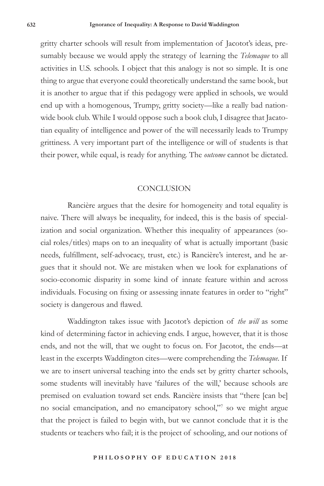gritty charter schools will result from implementation of Jacotot's ideas, presumably because we would apply the strategy of learning the *Telemaque* to all activities in U.S. schools. I object that this analogy is not so simple. It is one thing to argue that everyone could theoretically understand the same book, but it is another to argue that if this pedagogy were applied in schools, we would end up with a homogenous, Trumpy, gritty society—like a really bad nationwide book club. While I would oppose such a book club, I disagree that Jacatotian equality of intelligence and power of the will necessarily leads to Trumpy grittiness. A very important part of the intelligence or will of students is that their power, while equal, is ready for anything. The *outcome* cannot be dictated.

## **CONCLUSION**

Rancière argues that the desire for homogeneity and total equality is naive. There will always be inequality, for indeed, this is the basis of specialization and social organization. Whether this inequality of appearances (social roles/titles) maps on to an inequality of what is actually important (basic needs, fulfillment, self-advocacy, trust, etc.) is Rancière's interest, and he argues that it should not. We are mistaken when we look for explanations of socio-economic disparity in some kind of innate feature within and across individuals. Focusing on fixing or assessing innate features in order to "right" society is dangerous and flawed.

Waddington takes issue with Jacotot's depiction of *the will* as some kind of determining factor in achieving ends. I argue, however, that it is those ends, and not the will, that we ought to focus on. For Jacotot, the ends—at least in the excerpts Waddington cites—were comprehending the *Telemaque*. If we are to insert universal teaching into the ends set by gritty charter schools, some students will inevitably have 'failures of the will,' because schools are premised on evaluation toward set ends. Rancière insists that "there [can be] no social emancipation, and no emancipatory school,"7 so we might argue that the project is failed to begin with, but we cannot conclude that it is the students or teachers who fail; it is the project of schooling, and our notions of